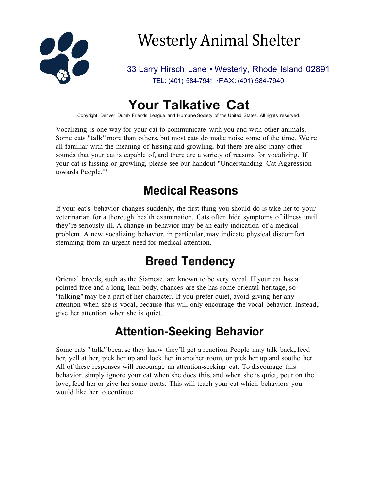

# Westerly Animal Shelter

33 Larry Hirsch Lane • Westerly, Rhode Island 02891 TEL: (401) 584-7941 ·FAX: (401) 584-7940

## **Your Talkative Cat**

Copyright Denver Dumb Friends League and Humane Society of the United States. All rights reserved.

Vocalizing is one way for your cat to communicate with you and with other animals. Some cats ''talk"more than others, but most cats do make noise some of the time. We're all familiar with the meaning of hissing and growling, but there are also many other sounds that your cat is capable of, and there are a variety of reasons for vocalizing. If your cat is hissing or growling, please see our handout "Understanding Cat Aggression towards People."

#### **Medical Reasons**

If your eat's behavior changes suddenly, the first thing you should do is take her to your veterinarian for a thorough health examination. Cats often hide symptoms of illness until they're seriously ill. A change in behavior may be an early indication of a medical problem. A new vocalizing behavior, in particular, may indicate physical discomfort stemming from an urgent need for medical attention.

# **Breed Tendency**

Oriental breeds,such as the Siamese, are known to be very vocal. If your cat has a pointed face and a long, lean body, chances are she has some oriental heritage, so ''talking"may be a part of her character. If you prefer quiet, avoid giving her any attention when she is vocal, because this will only encourage the vocal behavior. Instead, give her attention when she is quiet.

#### **Attention-Seeking Behavior**

Some cats "talk" because they know they'll get a reaction. People may talk back, feed her, yell at her, pick her up and lock her in another room, or pick her up and soothe her. All of these responses will encourage an attention-seeking cat. To discourage this behavior, simply ignore your cat when she does this, and when she is quiet, pour on the love, feed her or give her some treats. This will teach your cat which behaviors you would like her to continue.